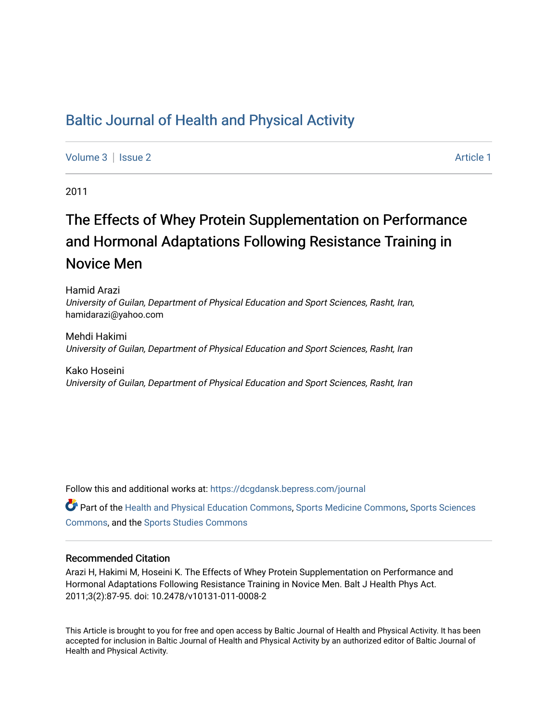# [Baltic Journal of Health and Physical Activity](https://dcgdansk.bepress.com/journal)

[Volume 3](https://dcgdansk.bepress.com/journal/vol3) | [Issue 2](https://dcgdansk.bepress.com/journal/vol3/iss2) Article 1

2011

# The Effects of Whey Protein Supplementation on Performance and Hormonal Adaptations Following Resistance Training in Novice Men

Hamid Arazi University of Guilan, Department of Physical Education and Sport Sciences, Rasht, Iran, hamidarazi@yahoo.com

Mehdi Hakimi University of Guilan, Department of Physical Education and Sport Sciences, Rasht, Iran

Kako Hoseini University of Guilan, Department of Physical Education and Sport Sciences, Rasht, Iran

Follow this and additional works at: [https://dcgdansk.bepress.com/journal](https://dcgdansk.bepress.com/journal?utm_source=dcgdansk.bepress.com%2Fjournal%2Fvol3%2Fiss2%2F1&utm_medium=PDF&utm_campaign=PDFCoverPages)

Part of the [Health and Physical Education Commons](http://network.bepress.com/hgg/discipline/1327?utm_source=dcgdansk.bepress.com%2Fjournal%2Fvol3%2Fiss2%2F1&utm_medium=PDF&utm_campaign=PDFCoverPages), [Sports Medicine Commons,](http://network.bepress.com/hgg/discipline/1331?utm_source=dcgdansk.bepress.com%2Fjournal%2Fvol3%2Fiss2%2F1&utm_medium=PDF&utm_campaign=PDFCoverPages) [Sports Sciences](http://network.bepress.com/hgg/discipline/759?utm_source=dcgdansk.bepress.com%2Fjournal%2Fvol3%2Fiss2%2F1&utm_medium=PDF&utm_campaign=PDFCoverPages) [Commons](http://network.bepress.com/hgg/discipline/759?utm_source=dcgdansk.bepress.com%2Fjournal%2Fvol3%2Fiss2%2F1&utm_medium=PDF&utm_campaign=PDFCoverPages), and the [Sports Studies Commons](http://network.bepress.com/hgg/discipline/1198?utm_source=dcgdansk.bepress.com%2Fjournal%2Fvol3%2Fiss2%2F1&utm_medium=PDF&utm_campaign=PDFCoverPages) 

#### Recommended Citation

Arazi H, Hakimi M, Hoseini K. The Effects of Whey Protein Supplementation on Performance and Hormonal Adaptations Following Resistance Training in Novice Men. Balt J Health Phys Act. 2011;3(2):87-95. doi: 10.2478/v10131-011-0008-2

This Article is brought to you for free and open access by Baltic Journal of Health and Physical Activity. It has been accepted for inclusion in Baltic Journal of Health and Physical Activity by an authorized editor of Baltic Journal of Health and Physical Activity.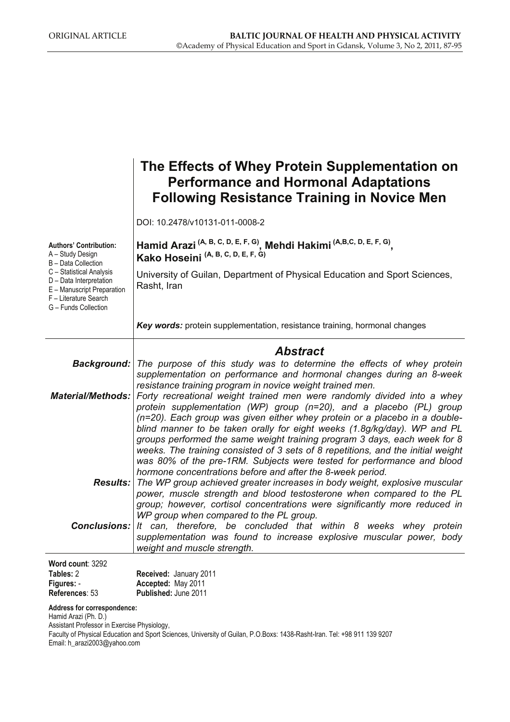|                                                                                                                                    | The Effects of Whey Protein Supplementation on<br><b>Performance and Hormonal Adaptations</b><br><b>Following Resistance Training in Novice Men</b>                                                                                                                                                                                                                                                                                                                                                                                                                                                                                                                                                                                                                                    |  |  |  |
|------------------------------------------------------------------------------------------------------------------------------------|----------------------------------------------------------------------------------------------------------------------------------------------------------------------------------------------------------------------------------------------------------------------------------------------------------------------------------------------------------------------------------------------------------------------------------------------------------------------------------------------------------------------------------------------------------------------------------------------------------------------------------------------------------------------------------------------------------------------------------------------------------------------------------------|--|--|--|
|                                                                                                                                    | DOI: 10.2478/v10131-011-0008-2                                                                                                                                                                                                                                                                                                                                                                                                                                                                                                                                                                                                                                                                                                                                                         |  |  |  |
| <b>Authors' Contribution:</b><br>A - Study Design<br><b>B</b> - Data Collection                                                    | Hamid Arazi <sup>(A, B, C, D, E, F, G)</sup> , Mehdi Hakimi <sup>(A,B,C, D, E, F, G)</sup> ,<br>Kako Hoseini <sup>(A, B, C, D, E, F, G)</sup>                                                                                                                                                                                                                                                                                                                                                                                                                                                                                                                                                                                                                                          |  |  |  |
| C - Statistical Analysis<br>D - Data Interpretation<br>E - Manuscript Preparation<br>F - Literature Search<br>G - Funds Collection | University of Guilan, Department of Physical Education and Sport Sciences,<br>Rasht, Iran                                                                                                                                                                                                                                                                                                                                                                                                                                                                                                                                                                                                                                                                                              |  |  |  |
|                                                                                                                                    | Key words: protein supplementation, resistance training, hormonal changes                                                                                                                                                                                                                                                                                                                                                                                                                                                                                                                                                                                                                                                                                                              |  |  |  |
|                                                                                                                                    | <b>Abstract</b>                                                                                                                                                                                                                                                                                                                                                                                                                                                                                                                                                                                                                                                                                                                                                                        |  |  |  |
| <b>Background:</b>                                                                                                                 | The purpose of this study was to determine the effects of whey protein<br>supplementation on performance and hormonal changes during an 8-week<br>resistance training program in novice weight trained men.<br>Material/Methods:   Forty recreational weight trained men were randomly divided into a whey<br>protein supplementation (WP) group (n=20), and a placebo (PL) group<br>(n=20). Each group was given either whey protein or a placebo in a double-<br>blind manner to be taken orally for eight weeks (1.8g/kg/day). WP and PL<br>groups performed the same weight training program 3 days, each week for 8<br>weeks. The training consisted of 3 sets of 8 repetitions, and the initial weight<br>was 80% of the pre-1RM. Subjects were tested for performance and blood |  |  |  |
|                                                                                                                                    | hormone concentrations before and after the 8-week period.<br><b>Results:</b> The WP group achieved greater increases in body weight, explosive muscular<br>power, muscle strength and blood testosterone when compared to the PL<br>group; however, cortisol concentrations were significantly more reduced in<br>WP group when compared to the PL group.                                                                                                                                                                                                                                                                                                                                                                                                                             |  |  |  |
|                                                                                                                                    | <b>Conclusions:</b> It can, therefore, be concluded that within 8 weeks whey protein<br>supplementation was found to increase explosive muscular power, body<br>weight and muscle strength.                                                                                                                                                                                                                                                                                                                                                                                                                                                                                                                                                                                            |  |  |  |
| Word count: 3292                                                                                                                   |                                                                                                                                                                                                                                                                                                                                                                                                                                                                                                                                                                                                                                                                                                                                                                                        |  |  |  |
| Tables: 2<br>Figures: -                                                                                                            | Received: January 2011<br>Accepted: May 2011                                                                                                                                                                                                                                                                                                                                                                                                                                                                                                                                                                                                                                                                                                                                           |  |  |  |

**Address for correspondence:** 

Hamid Arazi (Ph. D.)

**References**: 53

Assistant Professor in Exercise Physiology,

Faculty of Physical Education and Sport Sciences, University of Guilan, P.O.Boxs: 1438-Rasht-Iran. Tel: +98 911 139 9207 Email: h\_arazi2003@yahoo.com

**Published:** June 2011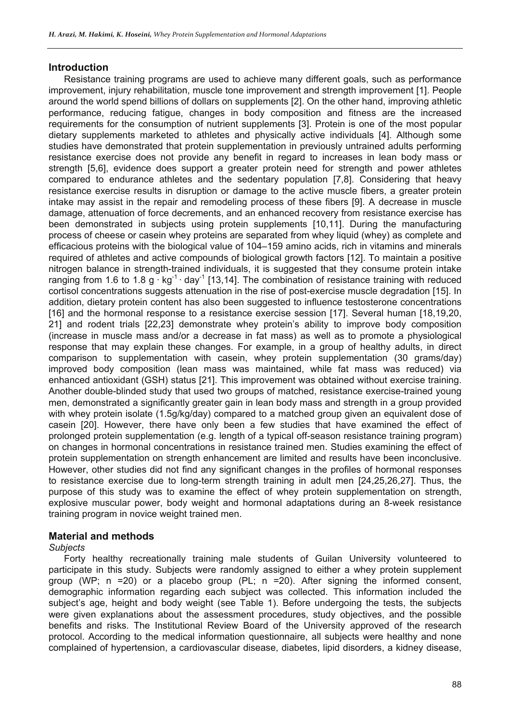# **Introduction**

Resistance training programs are used to achieve many different goals, such as performance improvement, injury rehabilitation, muscle tone improvement and strength improvement [1]. People around the world spend billions of dollars on supplements [2]. On the other hand, improving athletic performance, reducing fatigue, changes in body composition and fitness are the increased requirements for the consumption of nutrient supplements [3]. Protein is one of the most popular dietary supplements marketed to athletes and physically active individuals [4]. Although some studies have demonstrated that protein supplementation in previously untrained adults performing resistance exercise does not provide any benefit in regard to increases in lean body mass or strength [5,6], evidence does support a greater protein need for strength and power athletes compared to endurance athletes and the sedentary population [7,8]. Considering that heavy resistance exercise results in disruption or damage to the active muscle fibers, a greater protein intake may assist in the repair and remodeling process of these fibers [9]. A decrease in muscle damage, attenuation of force decrements, and an enhanced recovery from resistance exercise has been demonstrated in subjects using protein supplements [10,11]. During the manufacturing process of cheese or casein whey proteins are separated from whey liquid (whey) as complete and efficacious proteins with the biological value of 104–159 amino acids, rich in vitamins and minerals required of athletes and active compounds of biological growth factors [12]. To maintain a positive nitrogen balance in strength-trained individuals, it is suggested that they consume protein intake ranging from 1.6 to 1.8 g  $\cdot$  kg<sup>-1</sup>  $\cdot$  day<sup>-1</sup> [13,14]. The combination of resistance training with reduced cortisol concentrations suggests attenuation in the rise of post-exercise muscle degradation [15]. In addition, dietary protein content has also been suggested to influence testosterone concentrations [16] and the hormonal response to a resistance exercise session [17]. Several human [18,19,20, 21] and rodent trials [22,23] demonstrate whey protein's ability to improve body composition (increase in muscle mass and/or a decrease in fat mass) as well as to promote a physiological response that may explain these changes. For example, in a group of healthy adults, in direct comparison to supplementation with casein, whey protein supplementation (30 grams/day) improved body composition (lean mass was maintained, while fat mass was reduced) via enhanced antioxidant (GSH) status [21]. This improvement was obtained without exercise training. Another double-blinded study that used two groups of matched, resistance exercise-trained young men, demonstrated a significantly greater gain in lean body mass and strength in a group provided with whey protein isolate (1.5g/kg/day) compared to a matched group given an equivalent dose of casein [20]. However, there have only been a few studies that have examined the effect of prolonged protein supplementation (e.g. length of a typical off-season resistance training program) on changes in hormonal concentrations in resistance trained men. Studies examining the effect of protein supplementation on strength enhancement are limited and results have been inconclusive. However, other studies did not find any significant changes in the profiles of hormonal responses to resistance exercise due to long-term strength training in adult men [24,25,26,27]. Thus, the purpose of this study was to examine the effect of whey protein supplementation on strength, explosive muscular power, body weight and hormonal adaptations during an 8-week resistance training program in novice weight trained men.

# **Material and methods**

## *Subjects*

Forty healthy recreationally training male students of Guilan University volunteered to participate in this study. Subjects were randomly assigned to either a whey protein supplement group (WP; n =20) or a placebo group (PL; n =20). After signing the informed consent, demographic information regarding each subject was collected. This information included the subject's age, height and body weight (see Table 1). Before undergoing the tests, the subjects were given explanations about the assessment procedures, study objectives, and the possible benefits and risks. The Institutional Review Board of the University approved of the research protocol. According to the medical information questionnaire, all subjects were healthy and none complained of hypertension, a cardiovascular disease, diabetes, lipid disorders, a kidney disease,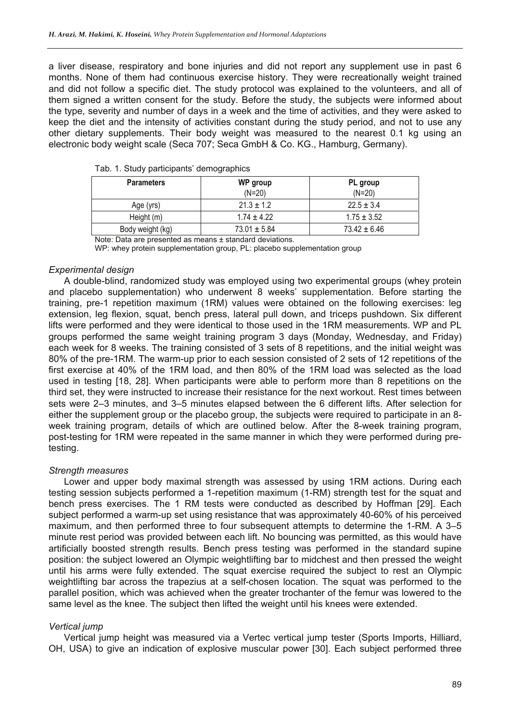a liver disease, respiratory and bone injuries and did not report any supplement use in past 6 months. None of them had continuous exercise history. They were recreationally weight trained and did not follow a specific diet. The study protocol was explained to the volunteers, and all of them signed a written consent for the study. Before the study, the subjects were informed about the type, severity and number of days in a week and the time of activities, and they were asked to keep the diet and the intensity of activities constant during the study period, and not to use any other dietary supplements. Their body weight was measured to the nearest 0.1 kg using an electronic body weight scale (Seca 707; Seca GmbH & Co. KG., Hamburg, Germany).

| <b>Parameters</b> | WP group<br>$(N=20)$ | PL group<br>$(N=20)$ |
|-------------------|----------------------|----------------------|
| Age (yrs)         | $21.3 \pm 1.2$       | $22.5 \pm 3.4$       |
| Height (m)        | $1.74 \pm 4.22$      | $1.75 \pm 3.52$      |
| Body weight (kg)  | $73.01 \pm 5.84$     | $73.42 \pm 6.46$     |

|  |  |  |  |  | Tab. 1. Study participants' demographics |
|--|--|--|--|--|------------------------------------------|
|--|--|--|--|--|------------------------------------------|

Note: Data are presented as means ± standard deviations.

WP: whey protein supplementation group, PL: placebo supplementation group

#### *Experimental design*

A double-blind, randomized study was employed using two experimental groups (whey protein and placebo supplementation) who underwent 8 weeks' supplementation. Before starting the training, pre-1 repetition maximum (1RM) values were obtained on the following exercises: leg extension, leg flexion, squat, bench press, lateral pull down, and triceps pushdown. Six different lifts were performed and they were identical to those used in the 1RM measurements. WP and PL groups performed the same weight training program 3 days (Monday, Wednesday, and Friday) each week for 8 weeks. The training consisted of 3 sets of 8 repetitions, and the initial weight was 80% of the pre-1RM. The warm-up prior to each session consisted of 2 sets of 12 repetitions of the first exercise at 40% of the 1RM load, and then 80% of the 1RM load was selected as the load used in testing [18, 28]. When participants were able to perform more than 8 repetitions on the third set, they were instructed to increase their resistance for the next workout. Rest times between sets were 2–3 minutes, and 3–5 minutes elapsed between the 6 different lifts. After selection for either the supplement group or the placebo group, the subjects were required to participate in an 8 week training program, details of which are outlined below. After the 8-week training program, post-testing for 1RM were repeated in the same manner in which they were performed during pretesting.

#### *Strength measures*

Lower and upper body maximal strength was assessed by using 1RM actions. During each testing session subjects performed a 1-repetition maximum (1-RM) strength test for the squat and bench press exercises. The 1 RM tests were conducted as described by Hoffman [29]. Each subject performed a warm-up set using resistance that was approximately 40-60% of his perceived maximum, and then performed three to four subsequent attempts to determine the 1-RM. A 3–5 minute rest period was provided between each lift. No bouncing was permitted, as this would have artificially boosted strength results. Bench press testing was performed in the standard supine position: the subject lowered an Olympic weightlifting bar to midchest and then pressed the weight until his arms were fully extended. The squat exercise required the subject to rest an Olympic weightlifting bar across the trapezius at a self-chosen location. The squat was performed to the parallel position, which was achieved when the greater trochanter of the femur was lowered to the same level as the knee. The subject then lifted the weight until his knees were extended.

#### *Vertical jump*

Vertical jump height was measured via a Vertec vertical jump tester (Sports Imports, Hilliard, OH, USA) to give an indication of explosive muscular power [30]. Each subject performed three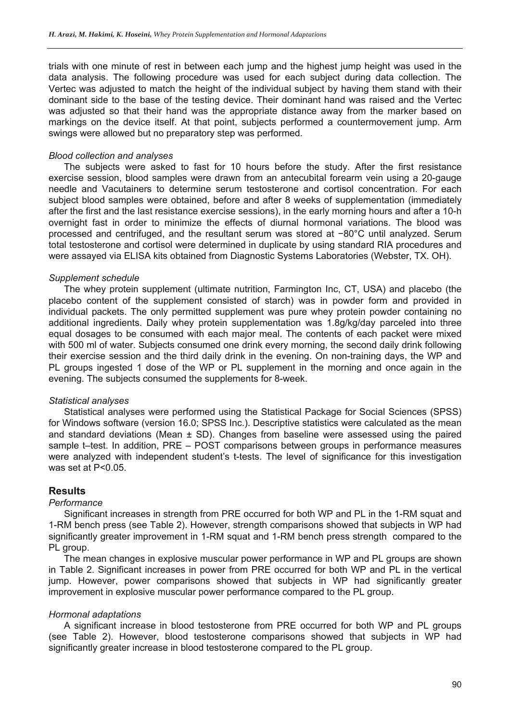trials with one minute of rest in between each jump and the highest jump height was used in the data analysis. The following procedure was used for each subject during data collection. The Vertec was adjusted to match the height of the individual subject by having them stand with their dominant side to the base of the testing device. Their dominant hand was raised and the Vertec was adjusted so that their hand was the appropriate distance away from the marker based on markings on the device itself. At that point, subjects performed a countermovement jump. Arm swings were allowed but no preparatory step was performed.

# *Blood collection and analyses*

The subjects were asked to fast for 10 hours before the study. After the first resistance exercise session, blood samples were drawn from an antecubital forearm vein using a 20-gauge needle and Vacutainers to determine serum testosterone and cortisol concentration. For each subject blood samples were obtained, before and after 8 weeks of supplementation (immediately after the first and the last resistance exercise sessions), in the early morning hours and after a 10-h overnight fast in order to minimize the effects of diurnal hormonal variations. The blood was processed and centrifuged, and the resultant serum was stored at −80°C until analyzed. Serum total testosterone and cortisol were determined in duplicate by using standard RIA procedures and were assayed via ELISA kits obtained from Diagnostic Systems Laboratories (Webster, TX. OH).

# *Supplement schedule*

The whey protein supplement (ultimate nutrition, Farmington Inc, CT, USA) and placebo (the placebo content of the supplement consisted of starch) was in powder form and provided in individual packets. The only permitted supplement was pure whey protein powder containing no additional ingredients. Daily whey protein supplementation was 1.8g/kg/day parceled into three equal dosages to be consumed with each major meal. The contents of each packet were mixed with 500 ml of water. Subjects consumed one drink every morning, the second daily drink following their exercise session and the third daily drink in the evening. On non-training days, the WP and PL groups ingested 1 dose of the WP or PL supplement in the morning and once again in the evening. The subjects consumed the supplements for 8-week.

## *Statistical analyses*

Statistical analyses were performed using the Statistical Package for Social Sciences (SPSS) for Windows software (version 16.0; SPSS Inc.). Descriptive statistics were calculated as the mean and standard deviations (Mean  $\pm$  SD). Changes from baseline were assessed using the paired sample t–test. In addition, PRE – POST comparisons between groups in performance measures were analyzed with independent student's t-tests. The level of significance for this investigation was set at P<0.05.

# **Results**

# *Performance*

Significant increases in strength from PRE occurred for both WP and PL in the 1-RM squat and 1-RM bench press (see Table 2). However, strength comparisons showed that subjects in WP had significantly greater improvement in 1-RM squat and 1-RM bench press strength compared to the PL group.

The mean changes in explosive muscular power performance in WP and PL groups are shown in Table 2. Significant increases in power from PRE occurred for both WP and PL in the vertical jump. However, power comparisons showed that subjects in WP had significantly greater improvement in explosive muscular power performance compared to the PL group.

## *Hormonal adaptations*

A significant increase in blood testosterone from PRE occurred for both WP and PL groups (see Table 2). However, blood testosterone comparisons showed that subjects in WP had significantly greater increase in blood testosterone compared to the PL group.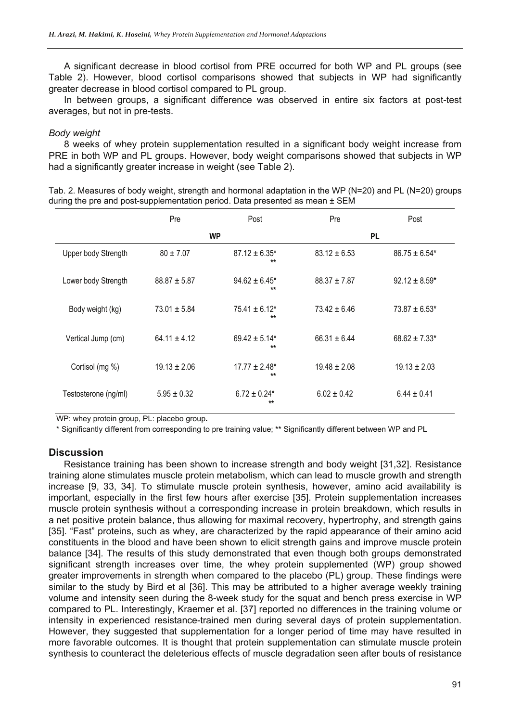A significant decrease in blood cortisol from PRE occurred for both WP and PL groups (see Table 2). However, blood cortisol comparisons showed that subjects in WP had significantly greater decrease in blood cortisol compared to PL group.

In between groups, a significant difference was observed in entire six factors at post-test averages, but not in pre-tests.

## *Body weight*

8 weeks of whey protein supplementation resulted in a significant body weight increase from PRE in both WP and PL groups. However, body weight comparisons showed that subjects in WP had a significantly greater increase in weight (see Table 2).

| Tab. 2. Measures of body weight, strength and hormonal adaptation in the WP (N=20) and PL (N=20) groups |  |  |
|---------------------------------------------------------------------------------------------------------|--|--|
| during the pre and post-supplementation period. Data presented as mean $\pm$ SEM                        |  |  |

|                      | Pre              | Post                               | Pre              | Post              |
|----------------------|------------------|------------------------------------|------------------|-------------------|
|                      |                  | WP                                 | <b>PL</b>        |                   |
| Upper body Strength  | $80 \pm 7.07$    | $87.12 \pm 6.35$ *<br>$\star\star$ | $83.12 \pm 6.53$ | $86.75 \pm 6.54*$ |
| Lower body Strength  | $88.87 \pm 5.87$ | $94.62 \pm 6.45^*$<br>$**$         | $88.37 + 7.87$   | $92.12 \pm 8.59*$ |
| Body weight (kg)     | $73.01 \pm 5.84$ | $75.41 + 6.12*$<br>$**$            | $73.42 + 6.46$   | $73.87 \pm 6.53*$ |
| Vertical Jump (cm)   | $64.11 + 4.12$   | $69.42 \pm 5.14*$<br>$\star\star$  | $66.31 + 6.44$   | $68.62 \pm 7.33*$ |
| Cortisol (mg %)      | $19.13 \pm 2.06$ | $17.77 \pm 2.48*$<br>$\star\star$  | $19.48 \pm 2.08$ | $19.13 \pm 2.03$  |
| Testosterone (ng/ml) | $5.95 \pm 0.32$  | $6.72 \pm 0.24*$<br>$**$           | $6.02 \pm 0.42$  | $6.44 \pm 0.41$   |

WP: whey protein group, PL: placebo group**.** 

\* Significantly different from corresponding to pre training value; **\*\*** Significantly different between WP and PL

## **Discussion**

Resistance training has been shown to increase strength and body weight [31,32]. Resistance training alone stimulates muscle protein metabolism, which can lead to muscle growth and strength increase [9, 33, 34]. To stimulate muscle protein synthesis, however, amino acid availability is important, especially in the first few hours after exercise [35]. Protein supplementation increases muscle protein synthesis without a corresponding increase in protein breakdown, which results in a net positive protein balance, thus allowing for maximal recovery, hypertrophy, and strength gains [35]. "Fast" proteins, such as whey, are characterized by the rapid appearance of their amino acid constituents in the blood and have been shown to elicit strength gains and improve muscle protein balance [34]. The results of this study demonstrated that even though both groups demonstrated significant strength increases over time, the whey protein supplemented (WP) group showed greater improvements in strength when compared to the placebo (PL) group. These findings were similar to the study by Bird et al [36]. This may be attributed to a higher average weekly training volume and intensity seen during the 8-week study for the squat and bench press exercise in WP compared to PL. Interestingly, Kraemer et al. [37] reported no differences in the training volume or intensity in experienced resistance-trained men during several days of protein supplementation. However, they suggested that supplementation for a longer period of time may have resulted in more favorable outcomes. It is thought that protein supplementation can stimulate muscle protein synthesis to counteract the deleterious effects of muscle degradation seen after bouts of resistance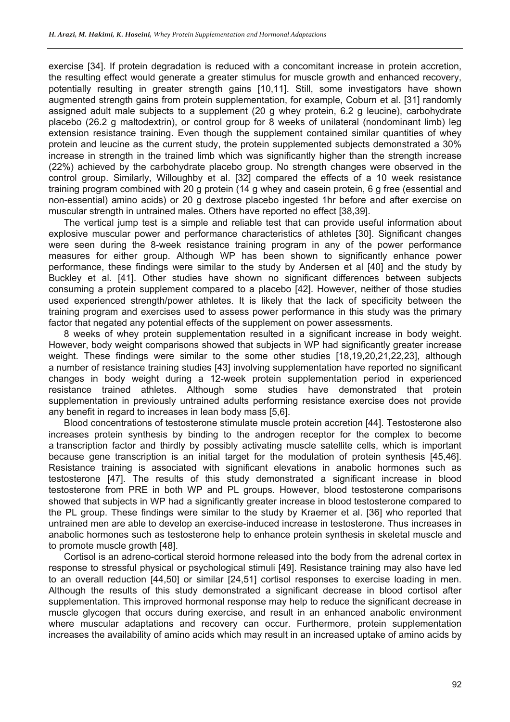exercise [34]. If protein degradation is reduced with a concomitant increase in protein accretion, the resulting effect would generate a greater stimulus for muscle growth and enhanced recovery, potentially resulting in greater strength gains [10,11]. Still, some investigators have shown augmented strength gains from protein supplementation, for example, Coburn et al. [31] randomly assigned adult male subjects to a supplement (20 g whey protein, 6.2 g leucine), carbohydrate placebo (26.2 g maltodextrin), or control group for 8 weeks of unilateral (nondominant limb) leg extension resistance training. Even though the supplement contained similar quantities of whey protein and leucine as the current study, the protein supplemented subjects demonstrated a 30% increase in strength in the trained limb which was significantly higher than the strength increase (22%) achieved by the carbohydrate placebo group. No strength changes were observed in the control group. Similarly, Willoughby et al. [32] compared the effects of a 10 week resistance training program combined with 20 g protein (14 g whey and casein protein, 6 g free (essential and non-essential) amino acids) or 20 g dextrose placebo ingested 1hr before and after exercise on muscular strength in untrained males. Others have reported no effect [38,39].

The vertical jump test is a simple and reliable test that can provide useful information about explosive muscular power and performance characteristics of athletes [30]. Significant changes were seen during the 8-week resistance training program in any of the power performance measures for either group. Although WP has been shown to significantly enhance power performance, these findings were similar to the study by Andersen et al [40] and the study by Buckley et al. [41]. Other studies have shown no significant differences between subjects consuming a protein supplement compared to a placebo [42]. However, neither of those studies used experienced strength/power athletes. It is likely that the lack of specificity between the training program and exercises used to assess power performance in this study was the primary factor that negated any potential effects of the supplement on power assessments.

8 weeks of whey protein supplementation resulted in a significant increase in body weight. However, body weight comparisons showed that subjects in WP had significantly greater increase weight. These findings were similar to the some other studies [18,19,20,21,22,23], although a number of resistance training studies [43] involving supplementation have reported no significant changes in body weight during a 12-week protein supplementation period in experienced resistance trained athletes. Although some studies have demonstrated that protein supplementation in previously untrained adults performing resistance exercise does not provide any benefit in regard to increases in lean body mass [5,6].

Blood concentrations of testosterone stimulate muscle protein accretion [44]. Testosterone also increases protein synthesis by binding to the androgen receptor for the complex to become a transcription factor and thirdly by possibly activating muscle satellite cells, which is important because gene transcription is an initial target for the modulation of protein synthesis [45,46]. Resistance training is associated with significant elevations in anabolic hormones such as testosterone [47]. The results of this study demonstrated a significant increase in blood testosterone from PRE in both WP and PL groups. However, blood testosterone comparisons showed that subjects in WP had a significantly greater increase in blood testosterone compared to the PL group. These findings were similar to the study by Kraemer et al. [36] who reported that untrained men are able to develop an exercise-induced increase in testosterone. Thus increases in anabolic hormones such as testosterone help to enhance protein synthesis in skeletal muscle and to promote muscle growth [48].

Cortisol is an adreno-cortical steroid hormone released into the body from the adrenal cortex in response to stressful physical or psychological stimuli [49]. Resistance training may also have led to an overall reduction [44,50] or similar [24,51] cortisol responses to exercise loading in men. Although the results of this study demonstrated a significant decrease in blood cortisol after supplementation. This improved hormonal response may help to reduce the significant decrease in muscle glycogen that occurs during exercise, and result in an enhanced anabolic environment where muscular adaptations and recovery can occur. Furthermore, protein supplementation increases the availability of amino acids which may result in an increased uptake of amino acids by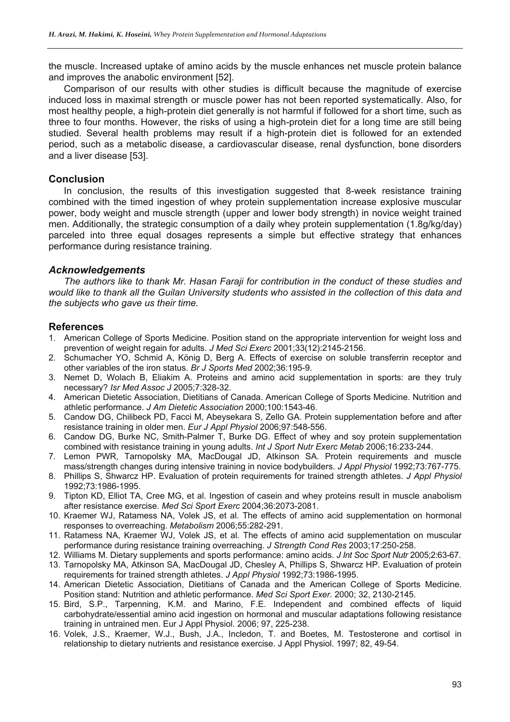the muscle. Increased uptake of amino acids by the muscle enhances net muscle protein balance and improves the anabolic environment [52].

Comparison of our results with other studies is difficult because the magnitude of exercise induced loss in maximal strength or muscle power has not been reported systematically. Also, for most healthy people, a high-protein diet generally is not harmful if followed for a short time, such as three to four months. However, the risks of using a high-protein diet for a long time are still being studied. Several health problems may result if a high-protein diet is followed for an extended period, such as a metabolic disease, a cardiovascular disease, renal dysfunction, bone disorders and a liver disease [53].

# **Conclusion**

In conclusion, the results of this investigation suggested that 8-week resistance training combined with the timed ingestion of whey protein supplementation increase explosive muscular power, body weight and muscle strength (upper and lower body strength) in novice weight trained men. Additionally, the strategic consumption of a daily whey protein supplementation (1.8g/kg/day) parceled into three equal dosages represents a simple but effective strategy that enhances performance during resistance training.

# *Acknowledgements*

*The authors like to thank Mr. Hasan Faraji for contribution in the conduct of these studies and would like to thank all the Guilan University students who assisted in the collection of this data and the subjects who gave us their time.* 

# **References**

- 1. American College of Sports Medicine. Position stand on the appropriate intervention for weight loss and prevention of weight regain for adults. *J Med Sci Exerc* 2001;33(12):2145-2156.
- 2. Schumacher YO, Schmid A, König D, Berg A. Effects of exercise on soluble transferrin receptor and other variables of the iron status. *Br J Sports Med* 2002;36:195-9.
- 3. Nemet D, Wolach B, Eliakim A. Proteins and amino acid supplementation in sports: are they truly necessary? *Isr Med Assoc J* 2005;7:328-32.
- 4. American Dietetic Association, Dietitians of Canada. American College of Sports Medicine. Nutrition and athletic performance. *J Am Dietetic Association* 2000;100:1543-46.
- 5. Candow DG, Chilibeck PD, Facci M, Abeysekara S, Zello GA. Protein supplementation before and after resistance training in older men. *Eur J Appl Physiol* 2006;97:548-556.
- 6. Candow DG, Burke NC, Smith-Palmer T, Burke DG. Effect of whey and soy protein supplementation combined with resistance training in young adults. *Int J Sport Nutr Exerc Metab* 2006;16:233-244.
- 7. Lemon PWR, Tarnopolsky MA, MacDougal JD, Atkinson SA. Protein requirements and muscle mass/strength changes during intensive training in novice bodybuilders. *J Appl Physiol* 1992;73:767-775.
- 8. Phillips S, Shwarcz HP. Evaluation of protein requirements for trained strength athletes. *J Appl Physiol* 1992;73:1986-1995.
- 9. Tipton KD, Elliot TA, Cree MG, et al. Ingestion of casein and whey proteins result in muscle anabolism after resistance exercise. *Med Sci Sport Exerc* 2004;36:2073-2081.
- 10. Kraemer WJ, Ratamess NA, Volek JS, et al. The effects of amino acid supplementation on hormonal responses to overreaching. *Metabolism* 2006;55:282-291.
- 11. Ratamess NA, Kraemer WJ, Volek JS, et al. The effects of amino acid supplementation on muscular performance during resistance training overreaching. *J Strength Cond Res* 2003;17:250-258.
- 12. Williams M. Dietary supplements and sports performance: amino acids. *J Int Soc Sport Nutr* 2005;2:63-67.
- 13. Tarnopolsky MA, Atkinson SA, MacDougal JD, Chesley A, Phillips S, Shwarcz HP. Evaluation of protein requirements for trained strength athletes. *J Appl Physiol* 1992;73:1986-1995.
- 14. American Dietetic Association, Dietitians of Canada and the American College of Sports Medicine. Position stand: Nutrition and athletic performance. *Med Sci Sport Exer*. 2000; 32, 2130-2145.
- 15. Bird, S.P., Tarpenning, K.M. and Marino, F.E. Independent and combined effects of liquid carbohydrate/essential amino acid ingestion on hormonal and muscular adaptations following resistance training in untrained men. Eur J Appl Physiol. 2006; 97, 225-238.
- 16. Volek, J.S., Kraemer, W.J., Bush, J.A., Incledon, T. and Boetes, M. Testosterone and cortisol in relationship to dietary nutrients and resistance exercise. J Appl Physiol. 1997; 82, 49-54.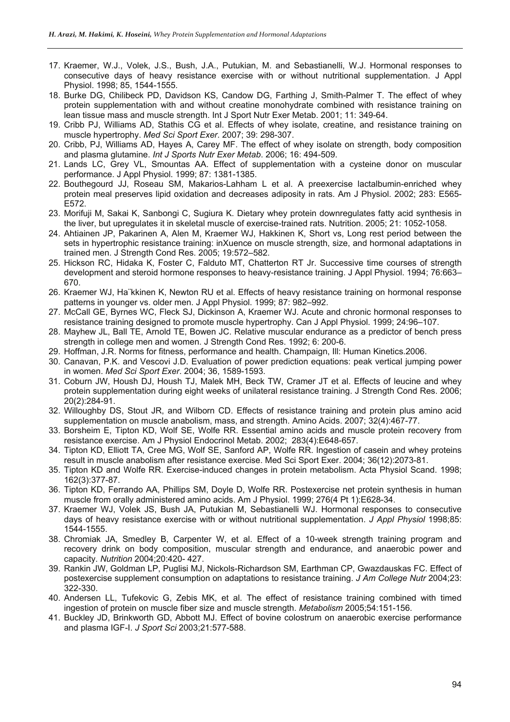- 17. Kraemer, W.J., Volek, J.S., Bush, J.A., Putukian, M. and Sebastianelli, W.J. Hormonal responses to consecutive days of heavy resistance exercise with or without nutritional supplementation. J Appl Physiol. 1998; 85, 1544-1555.
- 18. Burke DG, Chilibeck PD, Davidson KS, Candow DG, Farthing J, Smith-Palmer T. The effect of whey protein supplementation with and without creatine monohydrate combined with resistance training on lean tissue mass and muscle strength. Int J Sport Nutr Exer Metab. 2001; 11: 349-64.
- 19. Cribb PJ, Williams AD, Stathis CG et al. Effects of whey isolate, creatine, and resistance training on muscle hypertrophy. *Med Sci Sport Exer*. 2007; 39: 298-307.
- 20. Cribb, PJ, Williams AD, Hayes A, Carey MF. The effect of whey isolate on strength, body composition and plasma glutamine. *Int J Sports Nutr Exer Metab*. 2006; 16: 494-509.
- 21. Lands LC, Grey VL, Smountas AA. Effect of supplementation with a cysteine donor on muscular performance. J Appl Physiol. 1999; 87: 1381-1385.
- 22. Bouthegourd JJ, Roseau SM, Makarios-Lahham L et al. A preexercise lactalbumin-enriched whey protein meal preserves lipid oxidation and decreases adiposity in rats. Am J Physiol. 2002; 283: E565- E572.
- 23. Morifuji M, Sakai K, Sanbongi C, Sugiura K. Dietary whey protein downregulates fatty acid synthesis in the liver, but upregulates it in skeletal muscle of exercise-trained rats. Nutrition. 2005; 21: 1052-1058.
- 24. Ahtiainen JP, Pakarinen A, Alen M, Kraemer WJ, Hakkinen K, Short vs, Long rest period between the sets in hypertrophic resistance training: inXuence on muscle strength, size, and hormonal adaptations in trained men. J Strength Cond Res. 2005; 19:572–582.
- 25. Hickson RC, Hidaka K, Foster C, Falduto MT, Chatterton RT Jr. Successive time courses of strength development and steroid hormone responses to heavy-resistance training. J Appl Physiol. 1994; 76:663– 670.
- 26. Kraemer WJ, Ha¨kkinen K, Newton RU et al. Effects of heavy resistance training on hormonal response patterns in younger vs. older men. J Appl Physiol. 1999; 87: 982–992.
- 27. McCall GE, Byrnes WC, Fleck SJ, Dickinson A, Kraemer WJ. Acute and chronic hormonal responses to resistance training designed to promote muscle hypertrophy. Can J Appl Physiol. 1999; 24:96–107.
- 28. Mayhew JL, Ball TE, Arnold TE, Bowen JC. Relative muscular endurance as a predictor of bench press strength in college men and women. J Strength Cond Res. 1992; 6: 200-6.
- 29. Hoffman, J.R. Norms for fitness, performance and health. Champaign, Ill: Human Kinetics.2006.
- 30. Canavan, P.K. and Vescovi J.D. Evaluation of power prediction equations: peak vertical jumping power in women. *Med Sci Sport Exer*. 2004; 36, 1589-1593.
- 31. Coburn JW, Housh DJ, Housh TJ, Malek MH, Beck TW, Cramer JT et al. Effects of leucine and whey protein supplementation during eight weeks of unilateral resistance training. J Strength Cond Res. 2006; 20(2):284-91.
- 32. Willoughby DS, Stout JR, and Wilborn CD. Effects of resistance training and protein plus amino acid supplementation on muscle anabolism, mass, and strength. Amino Acids. 2007; 32(4):467-77.
- 33. Borsheim E, Tipton KD, Wolf SE, Wolfe RR. Essential amino acids and muscle protein recovery from resistance exercise. Am J Physiol Endocrinol Metab. 2002; 283(4):E648-657.
- 34. Tipton KD, Elliott TA, Cree MG, Wolf SE, Sanford AP, Wolfe RR. Ingestion of casein and whey proteins result in muscle anabolism after resistance exercise. Med Sci Sport Exer. 2004; 36(12):2073-81.
- 35. Tipton KD and Wolfe RR. Exercise-induced changes in protein metabolism. Acta Physiol Scand. 1998; 162(3):377-87.
- 36. Tipton KD, Ferrando AA, Phillips SM, Doyle D, Wolfe RR. Postexercise net protein synthesis in human muscle from orally administered amino acids. Am J Physiol. 1999; 276(4 Pt 1):E628-34.
- 37. Kraemer WJ, Volek JS, Bush JA, Putukian M, Sebastianelli WJ. Hormonal responses to consecutive days of heavy resistance exercise with or without nutritional supplementation. *J Appl Physiol* 1998;85: 1544-1555.
- 38. Chromiak JA, Smedley B, Carpenter W, et al. Effect of a 10-week strength training program and recovery drink on body composition, muscular strength and endurance, and anaerobic power and capacity. *Nutrition* 2004;20:420- 427.
- 39. Rankin JW, Goldman LP, Puglisi MJ, Nickols-Richardson SM, Earthman CP, Gwazdauskas FC. Effect of postexercise supplement consumption on adaptations to resistance training. *J Am College Nutr* 2004;23: 322-330.
- 40. Andersen LL, Tufekovic G, Zebis MK, et al. The effect of resistance training combined with timed ingestion of protein on muscle fiber size and muscle strength. *Metabolism* 2005;54:151-156.
- 41. Buckley JD, Brinkworth GD, Abbott MJ. Effect of bovine colostrum on anaerobic exercise performance and plasma IGF-I. *J Sport Sci* 2003;21:577-588.